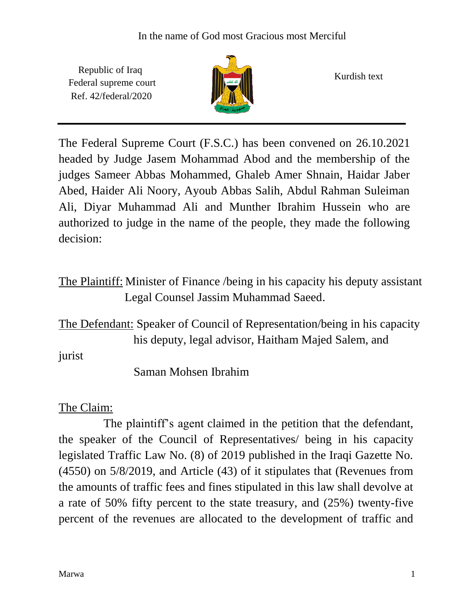Republic of Iraq Federal supreme court Ref. 42/federal/2020



Kurdish text

The Federal Supreme Court (F.S.C.) has been convened on 26.10.2021 headed by Judge Jasem Mohammad Abod and the membership of the judges Sameer Abbas Mohammed, Ghaleb Amer Shnain, Haidar Jaber Abed, Haider Ali Noory, Ayoub Abbas Salih, Abdul Rahman Suleiman Ali, Diyar Muhammad Ali and Munther Ibrahim Hussein who are authorized to judge in the name of the people, they made the following decision:

The Plaintiff: Minister of Finance /being in his capacity his deputy assistant Legal Counsel Jassim Muhammad Saeed.

The Defendant: Speaker of Council of Representation/being in his capacity his deputy, legal advisor, Haitham Majed Salem, and

jurist

Saman Mohsen Ibrahim

## The Claim:

 The plaintiff's agent claimed in the petition that the defendant, the speaker of the Council of Representatives/ being in his capacity legislated Traffic Law No. (8) of 2019 published in the Iraqi Gazette No. (4550) on 5/8/2019, and Article (43) of it stipulates that (Revenues from the amounts of traffic fees and fines stipulated in this law shall devolve at a rate of 50% fifty percent to the state treasury, and (25%) twenty-five percent of the revenues are allocated to the development of traffic and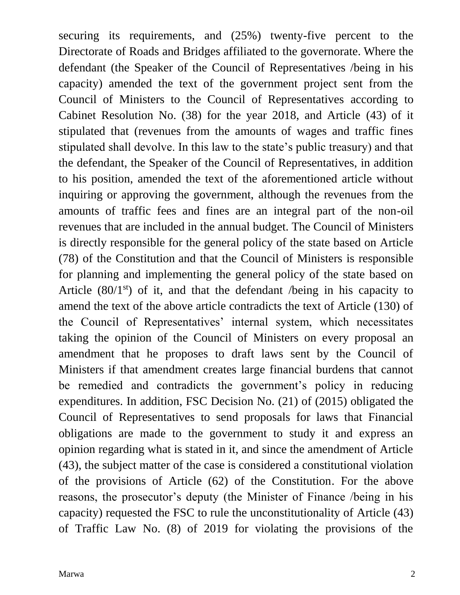securing its requirements, and (25%) twenty-five percent to the Directorate of Roads and Bridges affiliated to the governorate. Where the defendant (the Speaker of the Council of Representatives /being in his capacity) amended the text of the government project sent from the Council of Ministers to the Council of Representatives according to Cabinet Resolution No. (38) for the year 2018, and Article (43) of it stipulated that (revenues from the amounts of wages and traffic fines stipulated shall devolve. In this law to the state's public treasury) and that the defendant, the Speaker of the Council of Representatives, in addition to his position, amended the text of the aforementioned article without inquiring or approving the government, although the revenues from the amounts of traffic fees and fines are an integral part of the non-oil revenues that are included in the annual budget. The Council of Ministers is directly responsible for the general policy of the state based on Article (78) of the Constitution and that the Council of Ministers is responsible for planning and implementing the general policy of the state based on Article  $(80/1<sup>st</sup>)$  of it, and that the defendant /being in his capacity to amend the text of the above article contradicts the text of Article (130) of the Council of Representatives' internal system, which necessitates taking the opinion of the Council of Ministers on every proposal an amendment that he proposes to draft laws sent by the Council of Ministers if that amendment creates large financial burdens that cannot be remedied and contradicts the government's policy in reducing expenditures. In addition, FSC Decision No. (21) of (2015) obligated the Council of Representatives to send proposals for laws that Financial obligations are made to the government to study it and express an opinion regarding what is stated in it, and since the amendment of Article (43), the subject matter of the case is considered a constitutional violation of the provisions of Article (62) of the Constitution. For the above reasons, the prosecutor's deputy (the Minister of Finance /being in his capacity) requested the FSC to rule the unconstitutionality of Article (43) of Traffic Law No. (8) of 2019 for violating the provisions of the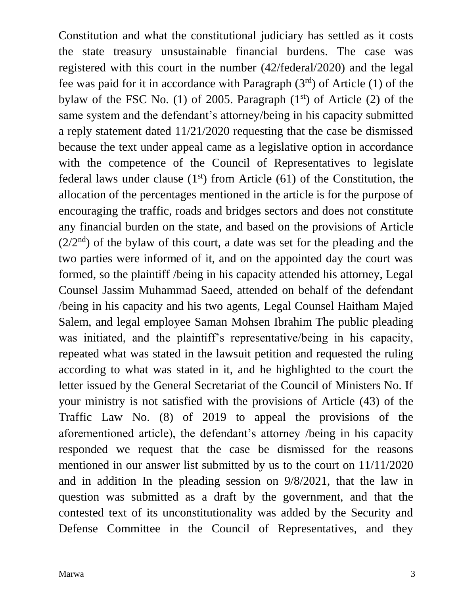Constitution and what the constitutional judiciary has settled as it costs the state treasury unsustainable financial burdens. The case was registered with this court in the number (42/federal/2020) and the legal fee was paid for it in accordance with Paragraph  $(3<sup>rd</sup>)$  of Article (1) of the bylaw of the FSC No. (1) of 2005. Paragraph  $(1<sup>st</sup>)$  of Article  $(2)$  of the same system and the defendant's attorney/being in his capacity submitted a reply statement dated 11/21/2020 requesting that the case be dismissed because the text under appeal came as a legislative option in accordance with the competence of the Council of Representatives to legislate federal laws under clause  $(1<sup>st</sup>)$  from Article  $(61)$  of the Constitution, the allocation of the percentages mentioned in the article is for the purpose of encouraging the traffic, roads and bridges sectors and does not constitute any financial burden on the state, and based on the provisions of Article  $(2/2<sup>nd</sup>)$  of the bylaw of this court, a date was set for the pleading and the two parties were informed of it, and on the appointed day the court was formed, so the plaintiff /being in his capacity attended his attorney, Legal Counsel Jassim Muhammad Saeed, attended on behalf of the defendant /being in his capacity and his two agents, Legal Counsel Haitham Majed Salem, and legal employee Saman Mohsen Ibrahim The public pleading was initiated, and the plaintiff's representative/being in his capacity, repeated what was stated in the lawsuit petition and requested the ruling according to what was stated in it, and he highlighted to the court the letter issued by the General Secretariat of the Council of Ministers No. If your ministry is not satisfied with the provisions of Article (43) of the Traffic Law No. (8) of 2019 to appeal the provisions of the aforementioned article), the defendant's attorney /being in his capacity responded we request that the case be dismissed for the reasons mentioned in our answer list submitted by us to the court on 11/11/2020 and in addition In the pleading session on 9/8/2021, that the law in question was submitted as a draft by the government, and that the contested text of its unconstitutionality was added by the Security and Defense Committee in the Council of Representatives, and they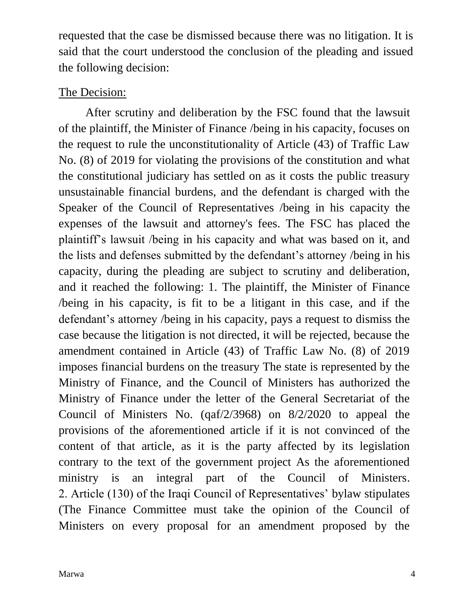requested that the case be dismissed because there was no litigation. It is said that the court understood the conclusion of the pleading and issued the following decision:

## The Decision:

 After scrutiny and deliberation by the FSC found that the lawsuit of the plaintiff, the Minister of Finance /being in his capacity, focuses on the request to rule the unconstitutionality of Article (43) of Traffic Law No. (8) of 2019 for violating the provisions of the constitution and what the constitutional judiciary has settled on as it costs the public treasury unsustainable financial burdens, and the defendant is charged with the Speaker of the Council of Representatives /being in his capacity the expenses of the lawsuit and attorney's fees. The FSC has placed the plaintiff's lawsuit /being in his capacity and what was based on it, and the lists and defenses submitted by the defendant's attorney /being in his capacity, during the pleading are subject to scrutiny and deliberation, and it reached the following: 1. The plaintiff, the Minister of Finance /being in his capacity, is fit to be a litigant in this case, and if the defendant's attorney /being in his capacity, pays a request to dismiss the case because the litigation is not directed, it will be rejected, because the amendment contained in Article (43) of Traffic Law No. (8) of 2019 imposes financial burdens on the treasury The state is represented by the Ministry of Finance, and the Council of Ministers has authorized the Ministry of Finance under the letter of the General Secretariat of the Council of Ministers No. (qaf/2/3968) on 8/2/2020 to appeal the provisions of the aforementioned article if it is not convinced of the content of that article, as it is the party affected by its legislation contrary to the text of the government project As the aforementioned ministry is an integral part of the Council of Ministers. 2. Article (130) of the Iraqi Council of Representatives' bylaw stipulates (The Finance Committee must take the opinion of the Council of Ministers on every proposal for an amendment proposed by the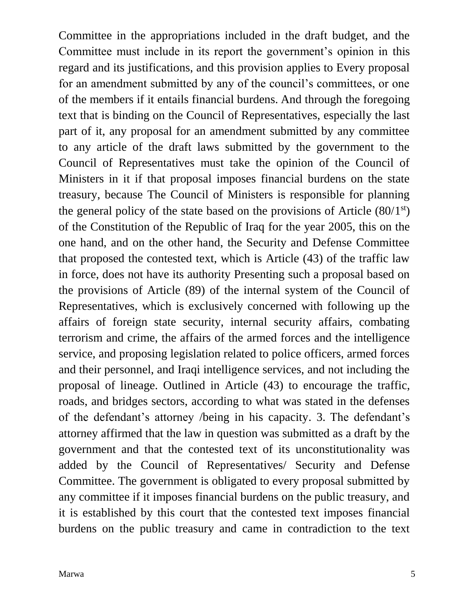Committee in the appropriations included in the draft budget, and the Committee must include in its report the government's opinion in this regard and its justifications, and this provision applies to Every proposal for an amendment submitted by any of the council's committees, or one of the members if it entails financial burdens. And through the foregoing text that is binding on the Council of Representatives, especially the last part of it, any proposal for an amendment submitted by any committee to any article of the draft laws submitted by the government to the Council of Representatives must take the opinion of the Council of Ministers in it if that proposal imposes financial burdens on the state treasury, because The Council of Ministers is responsible for planning the general policy of the state based on the provisions of Article  $(80/1<sup>st</sup>)$ of the Constitution of the Republic of Iraq for the year 2005, this on the one hand, and on the other hand, the Security and Defense Committee that proposed the contested text, which is Article (43) of the traffic law in force, does not have its authority Presenting such a proposal based on the provisions of Article (89) of the internal system of the Council of Representatives, which is exclusively concerned with following up the affairs of foreign state security, internal security affairs, combating terrorism and crime, the affairs of the armed forces and the intelligence service, and proposing legislation related to police officers, armed forces and their personnel, and Iraqi intelligence services, and not including the proposal of lineage. Outlined in Article (43) to encourage the traffic, roads, and bridges sectors, according to what was stated in the defenses of the defendant's attorney /being in his capacity. 3. The defendant's attorney affirmed that the law in question was submitted as a draft by the government and that the contested text of its unconstitutionality was added by the Council of Representatives/ Security and Defense Committee. The government is obligated to every proposal submitted by any committee if it imposes financial burdens on the public treasury, and it is established by this court that the contested text imposes financial burdens on the public treasury and came in contradiction to the text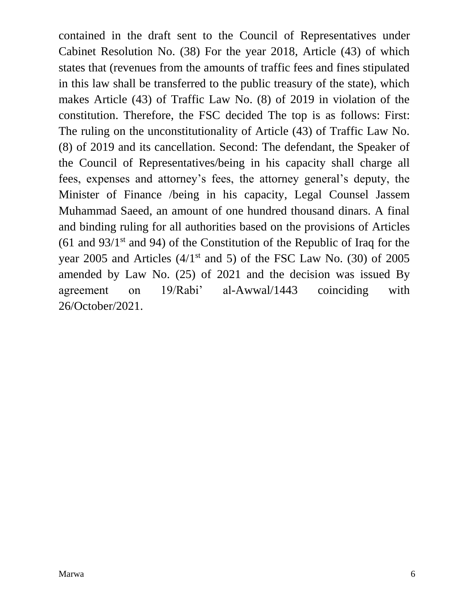contained in the draft sent to the Council of Representatives under Cabinet Resolution No. (38) For the year 2018, Article (43) of which states that (revenues from the amounts of traffic fees and fines stipulated in this law shall be transferred to the public treasury of the state), which makes Article (43) of Traffic Law No. (8) of 2019 in violation of the constitution. Therefore, the FSC decided The top is as follows: First: The ruling on the unconstitutionality of Article (43) of Traffic Law No. (8) of 2019 and its cancellation. Second: The defendant, the Speaker of the Council of Representatives/being in his capacity shall charge all fees, expenses and attorney's fees, the attorney general's deputy, the Minister of Finance /being in his capacity, Legal Counsel Jassem Muhammad Saeed, an amount of one hundred thousand dinars. A final and binding ruling for all authorities based on the provisions of Articles  $(61$  and  $93/1$ <sup>st</sup> and  $94)$  of the Constitution of the Republic of Iraq for the year 2005 and Articles  $(4/1<sup>st</sup>$  and 5) of the FSC Law No. (30) of 2005 amended by Law No. (25) of 2021 and the decision was issued By agreement on 19/Rabi' al-Awwal/1443 coinciding with 26/October/2021.